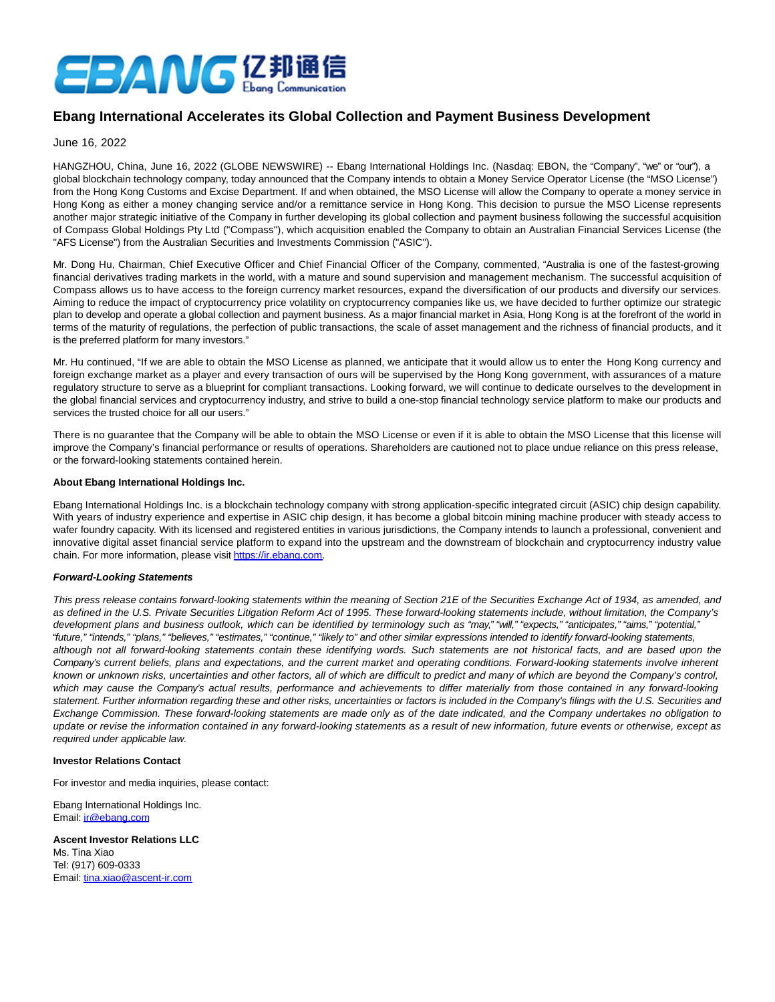

## **Ebang International Accelerates its Global Collection and Payment Business Development**

June 16, 2022

HANGZHOU, China, June 16, 2022 (GLOBE NEWSWIRE) -- Ebang International Holdings Inc. (Nasdaq: EBON, the "Company", "we" or "our"), a global blockchain technology company, today announced that the Company intends to obtain a Money Service Operator License (the "MSO License") from the Hong Kong Customs and Excise Department. If and when obtained, the MSO License will allow the Company to operate a money service in Hong Kong as either a money changing service and/or a remittance service in Hong Kong. This decision to pursue the MSO License represents another major strategic initiative of the Company in further developing its global collection and payment business following the successful acquisition of Compass Global Holdings Pty Ltd ("Compass"), which acquisition enabled the Company to obtain an Australian Financial Services License (the "AFS License") from the Australian Securities and Investments Commission ("ASIC").

Mr. Dong Hu, Chairman, Chief Executive Officer and Chief Financial Officer of the Company, commented, "Australia is one of the fastest-growing financial derivatives trading markets in the world, with a mature and sound supervision and management mechanism. The successful acquisition of Compass allows us to have access to the foreign currency market resources, expand the diversification of our products and diversify our services. Aiming to reduce the impact of cryptocurrency price volatility on cryptocurrency companies like us, we have decided to further optimize our strategic plan to develop and operate a global collection and payment business. As a major financial market in Asia, Hong Kong is at the forefront of the world in terms of the maturity of regulations, the perfection of public transactions, the scale of asset management and the richness of financial products, and it is the preferred platform for many investors."

Mr. Hu continued, "If we are able to obtain the MSO License as planned, we anticipate that it would allow us to enter the Hong Kong currency and foreign exchange market as a player and every transaction of ours will be supervised by the Hong Kong government, with assurances of a mature regulatory structure to serve as a blueprint for compliant transactions. Looking forward, we will continue to dedicate ourselves to the development in the global financial services and cryptocurrency industry, and strive to build a one-stop financial technology service platform to make our products and services the trusted choice for all our users."

There is no guarantee that the Company will be able to obtain the MSO License or even if it is able to obtain the MSO License that this license will improve the Company's financial performance or results of operations. Shareholders are cautioned not to place undue reliance on this press release, or the forward-looking statements contained herein.

## **About Ebang International Holdings Inc.**

Ebang International Holdings Inc. is a blockchain technology company with strong application-specific integrated circuit (ASIC) chip design capability. With years of industry experience and expertise in ASIC chip design, it has become a global bitcoin mining machine producer with steady access to wafer foundry capacity. With its licensed and registered entities in various jurisdictions, the Company intends to launch a professional, convenient and innovative digital asset financial service platform to expand into the upstream and the downstream of blockchain and cryptocurrency industry value chain. For more information, please visit [https://ir.ebang.com.](https://www.globenewswire.com/Tracker?data=DLnzoH_jWhef2VSOMLGGcnPAGcD5hobuNYaoUxuK2ttl9pl1vb-PqOj1SsswHk0dNI2LZFMVA5Rc5W2w0VJ_ng==)

## **Forward-Looking Statements**

This press release contains forward-looking statements within the meaning of Section 21E of the Securities Exchange Act of 1934, as amended, and as defined in the U.S. Private Securities Litigation Reform Act of 1995. These forward-looking statements include, without limitation, the Company's development plans and business outlook, which can be identified by terminology such as "may," "will," "expects," "anticipates," "aims," "potential," "future," "intends," "plans," "believes," "estimates," "continue," "likely to" and other similar expressions intended to identify forward-looking statements, although not all forward-looking statements contain these identifying words. Such statements are not historical facts, and are based upon the Company's current beliefs, plans and expectations, and the current market and operating conditions. Forward-looking statements involve inherent known or unknown risks, uncertainties and other factors, all of which are difficult to predict and many of which are beyond the Company's control, which may cause the Company's actual results, performance and achievements to differ materially from those contained in any forward-looking statement. Further information regarding these and other risks, uncertainties or factors is included in the Company's filings with the U.S. Securities and Exchange Commission. These forward-looking statements are made only as of the date indicated, and the Company undertakes no obligation to update or revise the information contained in any forward-looking statements as a result of new information, future events or otherwise, except as required under applicable law.

## **Investor Relations Contact**

For investor and media inquiries, please contact:

Ebang International Holdings Inc. Email[: ir@ebang.com](https://www.globenewswire.com/Tracker?data=dRKcmtZcX4LKFjznNf6UCajvZnEBIbNdBhM5O-b9lVZ-pqbJ5VGU52JhPnG-zGxQHFpzumW1TwdoAgshfcY5kA==)

**Ascent Investor Relations LLC** Ms. Tina Xiao Tel: (917) 609-0333 Email[: tina.xiao@ascent-ir.com](https://www.globenewswire.com/Tracker?data=a7s5TRFx6eYPJMPwP4Mk2WKErFjdqMw92X4ZVlubGNRR4NC7IiQ5YbW52vsiVneenWVU_hd5YZpElDl9OuW5hPFyyshyLadGWThQU7pNRu4=)